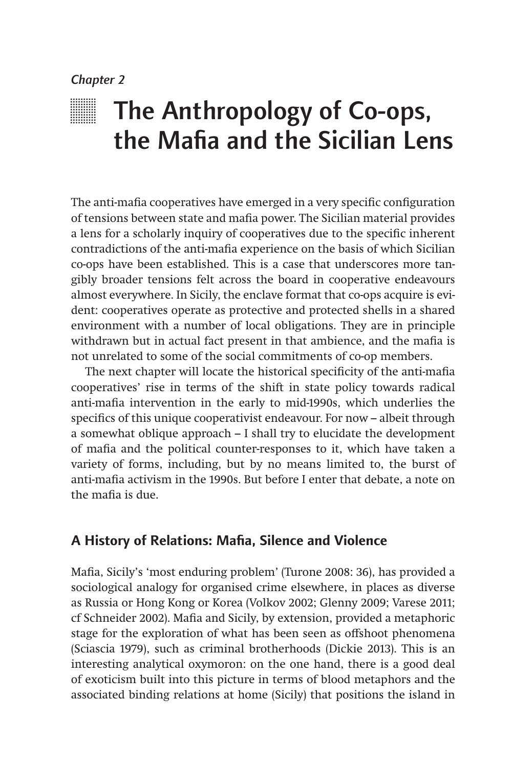# The Anthropology of Co-ops, the Mafia and the Sicilian Lens

The anti-mafia cooperatives have emerged in a very specific configuration of tensions between state and mafia power. The Sicilian material provides a lens for a scholarly inquiry of cooperatives due to the specific inherent contradictions of the anti-mafia experience on the basis of which Sicilian co-ops have been established. This is a case that underscores more tangibly broader tensions felt across the board in cooperative endeavours almost everywhere. In Sicily, the enclave format that co-ops acquire is evident: cooperatives operate as protective and protected shells in a shared environment with a number of local obligations. They are in principle withdrawn but in actual fact present in that ambience, and the mafia is not unrelated to some of the social commitments of co-op members.

The next chapter will locate the historical specificity of the anti-mafia cooperatives' rise in terms of the shift in state policy towards radical anti-mafia intervention in the early to mid-1990s, which underlies the specifics of this unique cooperativist endeavour. For now – albeit through a somewhat oblique approach – I shall try to elucidate the development of mafia and the political counter-responses to it, which have taken a variety of forms, including, but by no means limited to, the burst of anti-mafia activism in the 1990s. But before I enter that debate, a note on the mafia is due.

# **A History of Relations: Mafia, Silence and Violence**

Mafia, Sicily's 'most enduring problem' (Turone 2008: 36), has provided a sociological analogy for organised crime elsewhere, in places as diverse as Russia or Hong Kong or Korea (Volkov 2002; Glenny 2009; Varese 2011; cf Schneider 2002). Mafia and Sicily, by extension, provided a metaphoric stage for the exploration of what has been seen as offshoot phenomena (Sciascia 1979), such as criminal brotherhoods (Dickie 2013). This is an interesting analytical oxymoron: on the one hand, there is a good deal of exoticism built into this picture in terms of blood metaphors and the associated binding relations at home (Sicily) that positions the island in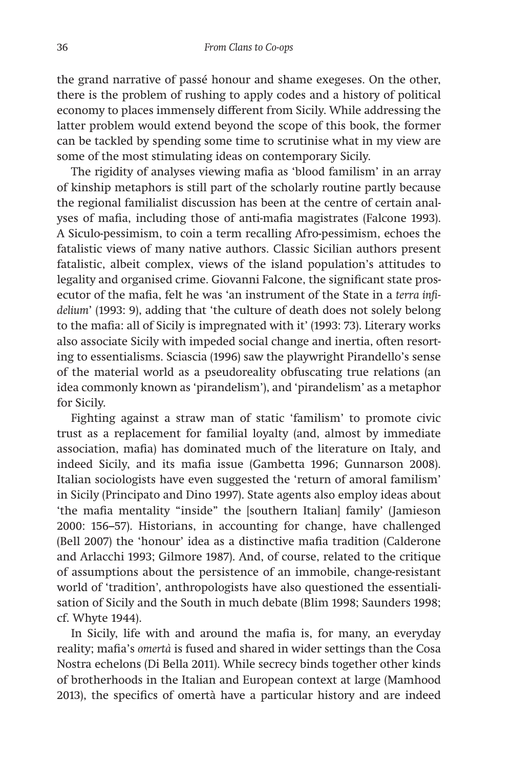the grand narrative of passé honour and shame exegeses. On the other, there is the problem of rushing to apply codes and a history of political economy to places immensely different from Sicily. While addressing the latter problem would extend beyond the scope of this book, the former can be tackled by spending some time to scrutinise what in my view are some of the most stimulating ideas on contemporary Sicily.

The rigidity of analyses viewing mafia as 'blood familism' in an array of kinship metaphors is still part of the scholarly routine partly because the regional familialist discussion has been at the centre of certain analyses of mafia, including those of anti-mafia magistrates (Falcone 1993). A Siculo-pessimism, to coin a term recalling Afro-pessimism, echoes the fatalistic views of many native authors. Classic Sicilian authors present fatalistic, albeit complex, views of the island population's attitudes to legality and organised crime. Giovanni Falcone, the significant state prosecutor of the mafia, felt he was 'an instrument of the State in a *terra infidelium*' (1993: 9), adding that 'the culture of death does not solely belong to the mafia: all of Sicily is impregnated with it' (1993: 73). Literary works also associate Sicily with impeded social change and inertia, often resorting to essentialisms. Sciascia (1996) saw the playwright Pirandello's sense of the material world as a pseudoreality obfuscating true relations (an idea commonly known as 'pirandelism'), and 'pirandelism' as a metaphor for Sicily.

Fighting against a straw man of static 'familism' to promote civic trust as a replacement for familial loyalty (and, almost by immediate association, mafia) has dominated much of the literature on Italy, and indeed Sicily, and its mafia issue (Gambetta 1996; Gunnarson 2008). Italian sociologists have even suggested the 'return of amoral familism' in Sicily (Principato and Dino 1997). State agents also employ ideas about 'the mafia mentality "inside" the [southern Italian] family' (Jamieson 2000: 156–57). Historians, in accounting for change, have challenged (Bell 2007) the 'honour' idea as a distinctive mafia tradition (Calderone and Arlacchi 1993; Gilmore 1987). And, of course, related to the critique of assumptions about the persistence of an immobile, change-resistant world of 'tradition', anthropologists have also questioned the essentialisation of Sicily and the South in much debate (Blim 1998; Saunders 1998; cf. Whyte 1944).

In Sicily, life with and around the mafia is, for many, an everyday reality; mafia's *omertà* is fused and shared in wider settings than the Cosa Nostra echelons (Di Bella 2011). While secrecy binds together other kinds of brotherhoods in the Italian and European context at large (Mamhood 2013), the specifics of omertà have a particular history and are indeed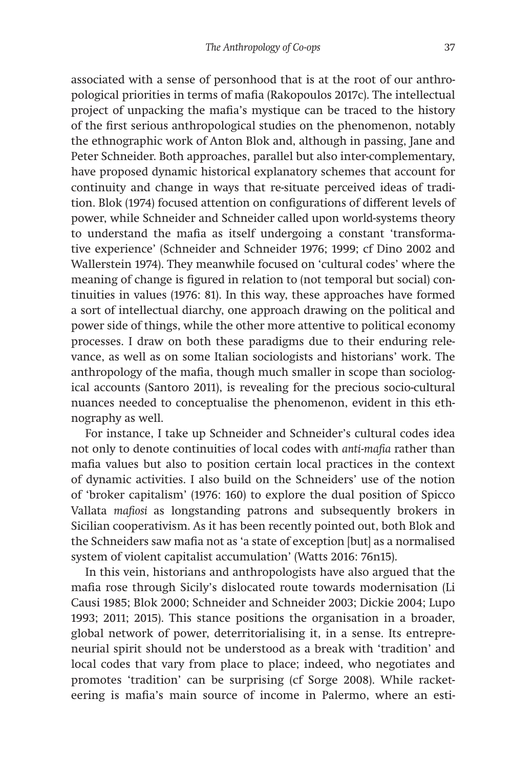associated with a sense of personhood that is at the root of our anthropological priorities in terms of mafia (Rakopoulos 2017c). The intellectual project of unpacking the mafia's mystique can be traced to the history of the first serious anthropological studies on the phenomenon, notably the ethnographic work of Anton Blok and, although in passing, Jane and Peter Schneider. Both approaches, parallel but also inter-complementary, have proposed dynamic historical explanatory schemes that account for continuity and change in ways that re-situate perceived ideas of tradition. Blok (1974) focused attention on configurations of different levels of power, while Schneider and Schneider called upon world-systems theory to understand the mafia as itself undergoing a constant 'transformative experience' (Schneider and Schneider 1976; 1999; cf Dino 2002 and Wallerstein 1974). They meanwhile focused on 'cultural codes' where the meaning of change is figured in relation to (not temporal but social) continuities in values (1976: 81). In this way, these approaches have formed a sort of intellectual diarchy, one approach drawing on the political and power side of things, while the other more attentive to political economy processes. I draw on both these paradigms due to their enduring relevance, as well as on some Italian sociologists and historians' work. The anthropology of the mafia, though much smaller in scope than sociological accounts (Santoro 2011), is revealing for the precious socio-cultural nuances needed to conceptualise the phenomenon, evident in this ethnography as well.

For instance, I take up Schneider and Schneider's cultural codes idea not only to denote continuities of local codes with *anti-mafia* rather than mafia values but also to position certain local practices in the context of dynamic activities. I also build on the Schneiders' use of the notion of 'broker capitalism' (1976: 160) to explore the dual position of Spicco Vallata *mafiosi* as longstanding patrons and subsequently brokers in Sicilian cooperativism. As it has been recently pointed out, both Blok and the Schneiders saw mafia not as 'a state of exception [but] as a normalised system of violent capitalist accumulation' (Watts 2016: 76n15).

In this vein, historians and anthropologists have also argued that the mafia rose through Sicily's dislocated route towards modernisation (Li Causi 1985; Blok 2000; Schneider and Schneider 2003; Dickie 2004; Lupo 1993; 2011; 2015). This stance positions the organisation in a broader, global network of power, deterritorialising it, in a sense. Its entrepreneurial spirit should not be understood as a break with 'tradition' and local codes that vary from place to place; indeed, who negotiates and promotes 'tradition' can be surprising (cf Sorge 2008). While racketeering is mafia's main source of income in Palermo, where an esti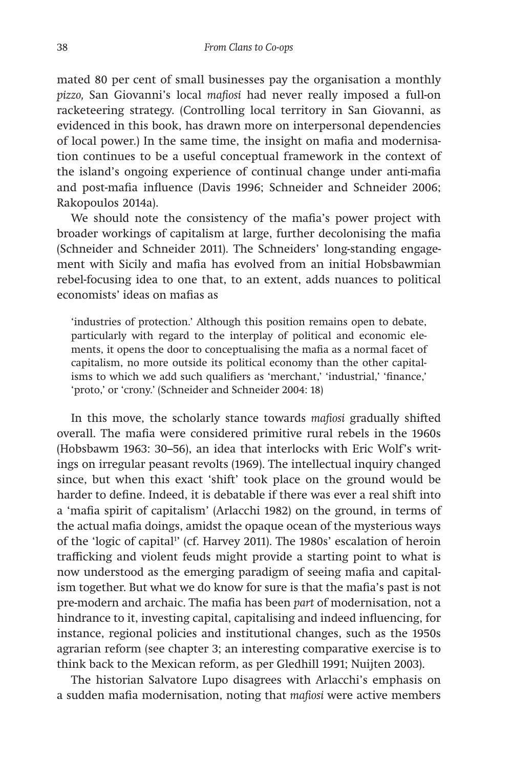mated 80 per cent of small businesses pay the organisation a monthly *pizzo,* San Giovanni's local *mafiosi* had never really imposed a full-on racketeering strategy. (Controlling local territory in San Giovanni, as evidenced in this book, has drawn more on interpersonal dependencies of local power.) In the same time, the insight on mafia and modernisation continues to be a useful conceptual framework in the context of the island's ongoing experience of continual change under anti-mafia and post-mafia influence (Davis 1996; Schneider and Schneider 2006; Rakopoulos 2014a).

We should note the consistency of the mafia's power project with broader workings of capitalism at large, further decolonising the mafia (Schneider and Schneider 2011). The Schneiders' long-standing engagement with Sicily and mafia has evolved from an initial Hobsbawmian rebel-focusing idea to one that, to an extent, adds nuances to political economists' ideas on mafias as

'industries of protection.' Although this position remains open to debate, particularly with regard to the interplay of political and economic elements, it opens the door to conceptualising the mafia as a normal facet of capitalism, no more outside its political economy than the other capitalisms to which we add such qualifiers as 'merchant,' 'industrial,' 'finance,' 'proto,' or 'crony.' (Schneider and Schneider 2004: 18)

In this move, the scholarly stance towards *mafiosi* gradually shifted overall. The mafia were considered primitive rural rebels in the 1960s (Hobsbawm 1963: 30–56), an idea that interlocks with Eric Wolf's writings on irregular peasant revolts (1969). The intellectual inquiry changed since, but when this exact 'shift' took place on the ground would be harder to define. Indeed, it is debatable if there was ever a real shift into a 'mafia spirit of capitalism' (Arlacchi 1982) on the ground, in terms of the actual mafia doings, amidst the opaque ocean of the mysterious ways of the 'logic of capital<sup>1</sup>' (cf. Harvey 2011). The 1980s' escalation of heroin trafficking and violent feuds might provide a starting point to what is now understood as the emerging paradigm of seeing mafia and capitalism together. But what we do know for sure is that the mafia's past is not pre-modern and archaic. The mafia has been *part* of modernisation, not a hindrance to it, investing capital, capitalising and indeed influencing, for instance, regional policies and institutional changes, such as the 1950s agrarian reform (see chapter 3; an interesting comparative exercise is to think back to the Mexican reform, as per Gledhill 1991; Nuijten 2003).

The historian Salvatore Lupo disagrees with Arlacchi's emphasis on a sudden mafia modernisation, noting that *mafiosi* were active members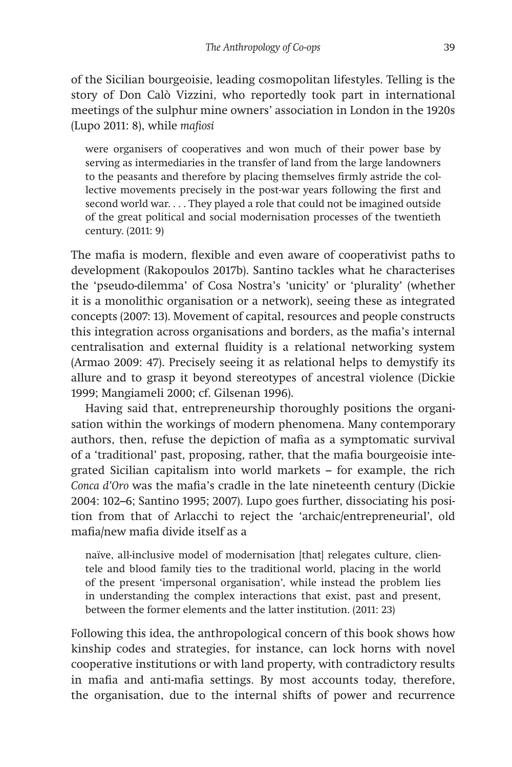of the Sicilian bourgeoisie, leading cosmopolitan lifestyles. Telling is the story of Don Calò Vizzini, who reportedly took part in international meetings of the sulphur mine owners' association in London in the 1920s (Lupo 2011: 8), while *mafiosi*

were organisers of cooperatives and won much of their power base by serving as intermediaries in the transfer of land from the large landowners to the peasants and therefore by placing themselves firmly astride the collective movements precisely in the post-war years following the first and second world war. . . . They played a role that could not be imagined outside of the great political and social modernisation processes of the twentieth century. (2011: 9)

The mafia is modern, flexible and even aware of cooperativist paths to development (Rakopoulos 2017b). Santino tackles what he characterises the 'pseudo-dilemma' of Cosa Nostra's 'unicity' or 'plurality' (whether it is a monolithic organisation or a network), seeing these as integrated concepts (2007: 13). Movement of capital, resources and people constructs this integration across organisations and borders, as the mafia's internal centralisation and external fluidity is a relational networking system (Armao 2009: 47). Precisely seeing it as relational helps to demystify its allure and to grasp it beyond stereotypes of ancestral violence (Dickie 1999; Mangiameli 2000; cf. Gilsenan 1996).

Having said that, entrepreneurship thoroughly positions the organisation within the workings of modern phenomena. Many contemporary authors, then, refuse the depiction of mafia as a symptomatic survival of a 'traditional' past, proposing, rather, that the mafia bourgeoisie integrated Sicilian capitalism into world markets – for example, the rich *Conca d'Oro* was the mafia's cradle in the late nineteenth century (Dickie 2004: 102–6; Santino 1995; 2007). Lupo goes further, dissociating his position from that of Arlacchi to reject the 'archaic/entrepreneurial', old mafia/new mafia divide itself as a

naïve, all-inclusive model of modernisation [that] relegates culture, clientele and blood family ties to the traditional world, placing in the world of the present 'impersonal organisation', while instead the problem lies in understanding the complex interactions that exist, past and present, between the former elements and the latter institution. (2011: 23)

Following this idea, the anthropological concern of this book shows how kinship codes and strategies, for instance, can lock horns with novel cooperative institutions or with land property, with contradictory results in mafia and anti-mafia settings. By most accounts today, therefore, the organisation, due to the internal shifts of power and recurrence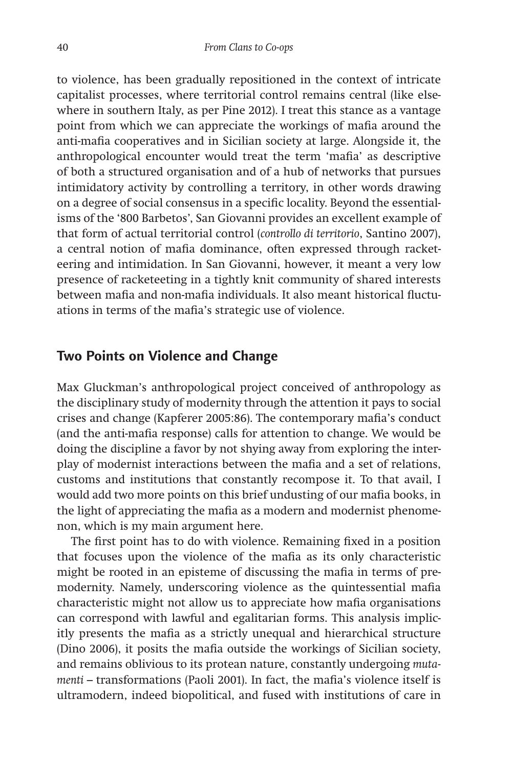to violence, has been gradually repositioned in the context of intricate capitalist processes, where territorial control remains central (like elsewhere in southern Italy, as per Pine 2012). I treat this stance as a vantage point from which we can appreciate the workings of mafia around the anti-mafia cooperatives and in Sicilian society at large. Alongside it, the anthropological encounter would treat the term 'mafia' as descriptive of both a structured organisation and of a hub of networks that pursues intimidatory activity by controlling a territory, in other words drawing on a degree of social consensus in a specific locality. Beyond the essentialisms of the '800 Barbetos', San Giovanni provides an excellent example of that form of actual territorial control (*controllo di territorio*, Santino 2007), a central notion of mafia dominance, often expressed through racketeering and intimidation. In San Giovanni, however, it meant a very low presence of racketeeting in a tightly knit community of shared interests between mafia and non-mafia individuals. It also meant historical fluctuations in terms of the mafia's strategic use of violence.

## **Two Points on Violence and Change**

Max Gluckman's anthropological project conceived of anthropology as the disciplinary study of modernity through the attention it pays to social crises and change (Kapferer 2005:86). The contemporary mafia's conduct (and the anti-mafia response) calls for attention to change. We would be doing the discipline a favor by not shying away from exploring the interplay of modernist interactions between the mafia and a set of relations, customs and institutions that constantly recompose it. To that avail, I would add two more points on this brief undusting of our mafia books, in the light of appreciating the mafia as a modern and modernist phenomenon, which is my main argument here.

The first point has to do with violence. Remaining fixed in a position that focuses upon the violence of the mafia as its only characteristic might be rooted in an episteme of discussing the mafia in terms of premodernity. Namely, underscoring violence as the quintessential mafia characteristic might not allow us to appreciate how mafia organisations can correspond with lawful and egalitarian forms. This analysis implicitly presents the mafia as a strictly unequal and hierarchical structure (Dino 2006), it posits the mafia outside the workings of Sicilian society, and remains oblivious to its protean nature, constantly undergoing *mutamenti –* transformations (Paoli 2001). In fact, the mafia's violence itself is ultramodern, indeed biopolitical, and fused with institutions of care in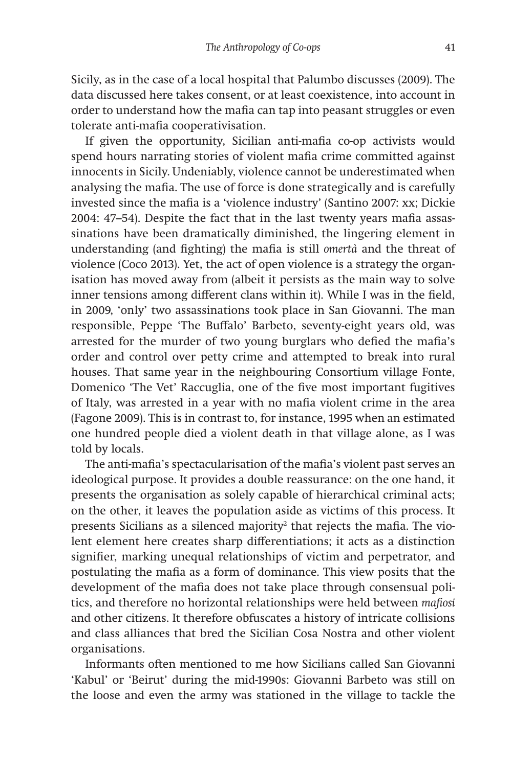Sicily, as in the case of a local hospital that Palumbo discusses (2009). The data discussed here takes consent, or at least coexistence, into account in order to understand how the mafia can tap into peasant struggles or even tolerate anti-mafia cooperativisation.

If given the opportunity, Sicilian anti-mafia co-op activists would spend hours narrating stories of violent mafia crime committed against innocents in Sicily. Undeniably, violence cannot be underestimated when analysing the mafia. The use of force is done strategically and is carefully invested since the mafia is a 'violence industry' (Santino 2007: xx; Dickie 2004: 47–54). Despite the fact that in the last twenty years mafia assassinations have been dramatically diminished, the lingering element in understanding (and fighting) the mafia is still *omertà* and the threat of violence (Coco 2013). Yet, the act of open violence is a strategy the organisation has moved away from (albeit it persists as the main way to solve inner tensions among different clans within it). While I was in the field, in 2009, 'only' two assassinations took place in San Giovanni. The man responsible, Peppe 'The Buffalo' Barbeto, seventy-eight years old, was arrested for the murder of two young burglars who defied the mafia's order and control over petty crime and attempted to break into rural houses. That same year in the neighbouring Consortium village Fonte, Domenico 'The Vet' Raccuglia, one of the five most important fugitives of Italy, was arrested in a year with no mafia violent crime in the area (Fagone 2009). This is in contrast to, for instance, 1995 when an estimated one hundred people died a violent death in that village alone, as I was told by locals.

The anti-mafia's spectacularisation of the mafia's violent past serves an ideological purpose. It provides a double reassurance: on the one hand, it presents the organisation as solely capable of hierarchical criminal acts; on the other, it leaves the population aside as victims of this process. It  $p$ resents Sicilians as a silenced majority<sup>2</sup> that rejects the mafia. The violent element here creates sharp differentiations; it acts as a distinction signifier, marking unequal relationships of victim and perpetrator, and postulating the mafia as a form of dominance. This view posits that the development of the mafia does not take place through consensual politics, and therefore no horizontal relationships were held between *mafiosi*  and other citizens. It therefore obfuscates a history of intricate collisions and class alliances that bred the Sicilian Cosa Nostra and other violent organisations.

Informants often mentioned to me how Sicilians called San Giovanni 'Kabul' or 'Beirut' during the mid-1990s: Giovanni Barbeto was still on the loose and even the army was stationed in the village to tackle the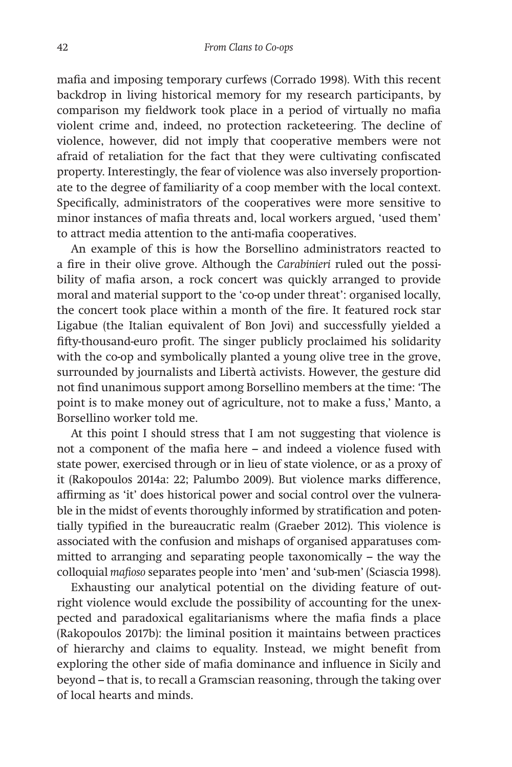mafia and imposing temporary curfews (Corrado 1998). With this recent backdrop in living historical memory for my research participants, by comparison my fieldwork took place in a period of virtually no mafia violent crime and, indeed, no protection racketeering. The decline of violence, however, did not imply that cooperative members were not afraid of retaliation for the fact that they were cultivating confiscated property. Interestingly, the fear of violence was also inversely proportionate to the degree of familiarity of a coop member with the local context. Specifically, administrators of the cooperatives were more sensitive to minor instances of mafia threats and, local workers argued, 'used them' to attract media attention to the anti-mafia cooperatives.

An example of this is how the Borsellino administrators reacted to a fire in their olive grove. Although the *Carabinieri* ruled out the possibility of mafia arson, a rock concert was quickly arranged to provide moral and material support to the 'co-op under threat': organised locally, the concert took place within a month of the fire. It featured rock star Ligabue (the Italian equivalent of Bon Jovi) and successfully yielded a fifty-thousand-euro profit. The singer publicly proclaimed his solidarity with the co-op and symbolically planted a young olive tree in the grove, surrounded by journalists and Libertà activists. However, the gesture did not find unanimous support among Borsellino members at the time: 'The point is to make money out of agriculture, not to make a fuss,' Manto, a Borsellino worker told me.

At this point I should stress that I am not suggesting that violence is not a component of the mafia here – and indeed a violence fused with state power, exercised through or in lieu of state violence, or as a proxy of it (Rakopoulos 2014a: 22; Palumbo 2009). But violence marks difference, affirming as 'it' does historical power and social control over the vulnerable in the midst of events thoroughly informed by stratification and potentially typified in the bureaucratic realm (Graeber 2012). This violence is associated with the confusion and mishaps of organised apparatuses committed to arranging and separating people taxonomically – the way the colloquial *mafioso* separates people into 'men' and 'sub-men' (Sciascia 1998).

Exhausting our analytical potential on the dividing feature of outright violence would exclude the possibility of accounting for the unexpected and paradoxical egalitarianisms where the mafia finds a place (Rakopoulos 2017b): the liminal position it maintains between practices of hierarchy and claims to equality. Instead, we might benefit from exploring the other side of mafia dominance and influence in Sicily and beyond – that is, to recall a Gramscian reasoning, through the taking over of local hearts and minds.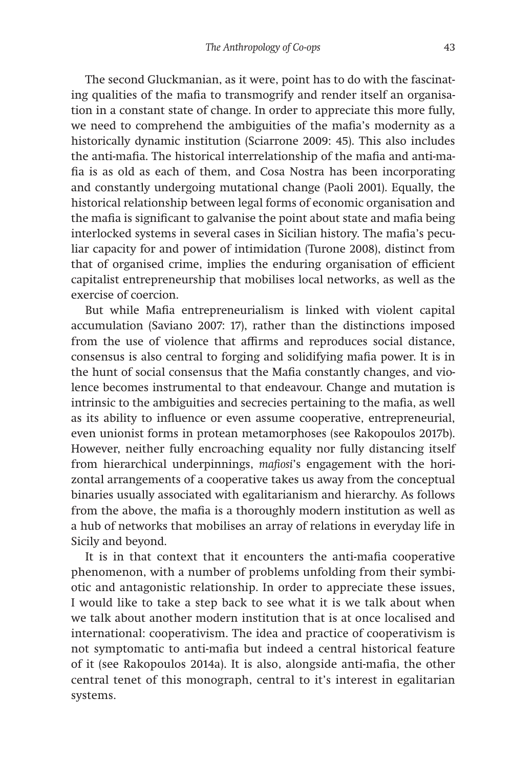The second Gluckmanian, as it were, point has to do with the fascinating qualities of the mafia to transmogrify and render itself an organisation in a constant state of change. In order to appreciate this more fully, we need to comprehend the ambiguities of the mafia's modernity as a historically dynamic institution (Sciarrone 2009: 45). This also includes the anti-mafia. The historical interrelationship of the mafia and anti-mafia is as old as each of them, and Cosa Nostra has been incorporating and constantly undergoing mutational change (Paoli 2001). Equally, the historical relationship between legal forms of economic organisation and the mafia is significant to galvanise the point about state and mafia being interlocked systems in several cases in Sicilian history. The mafia's peculiar capacity for and power of intimidation (Turone 2008), distinct from that of organised crime, implies the enduring organisation of efficient capitalist entrepreneurship that mobilises local networks, as well as the exercise of coercion.

But while Mafia entrepreneurialism is linked with violent capital accumulation (Saviano 2007: 17), rather than the distinctions imposed from the use of violence that affirms and reproduces social distance, consensus is also central to forging and solidifying mafia power. It is in the hunt of social consensus that the Mafia constantly changes, and violence becomes instrumental to that endeavour. Change and mutation is intrinsic to the ambiguities and secrecies pertaining to the mafia, as well as its ability to influence or even assume cooperative, entrepreneurial, even unionist forms in protean metamorphoses (see Rakopoulos 2017b). However, neither fully encroaching equality nor fully distancing itself from hierarchical underpinnings, *mafiosi*'s engagement with the horizontal arrangements of a cooperative takes us away from the conceptual binaries usually associated with egalitarianism and hierarchy. As follows from the above, the mafia is a thoroughly modern institution as well as a hub of networks that mobilises an array of relations in everyday life in Sicily and beyond.

It is in that context that it encounters the anti-mafia cooperative phenomenon, with a number of problems unfolding from their symbiotic and antagonistic relationship. In order to appreciate these issues, I would like to take a step back to see what it is we talk about when we talk about another modern institution that is at once localised and international: cooperativism. The idea and practice of cooperativism is not symptomatic to anti-mafia but indeed a central historical feature of it (see Rakopoulos 2014a). It is also, alongside anti-mafia, the other central tenet of this monograph, central to it's interest in egalitarian systems.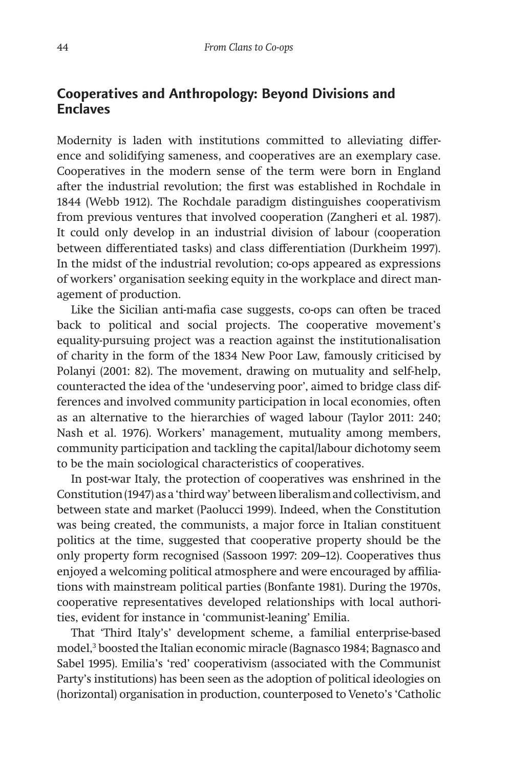# **Cooperatives and Anthropology: Beyond Divisions and Enclaves**

Modernity is laden with institutions committed to alleviating difference and solidifying sameness, and cooperatives are an exemplary case. Cooperatives in the modern sense of the term were born in England after the industrial revolution; the first was established in Rochdale in 1844 (Webb 1912). The Rochdale paradigm distinguishes cooperativism from previous ventures that involved cooperation (Zangheri et al. 1987). It could only develop in an industrial division of labour (cooperation between differentiated tasks) and class differentiation (Durkheim 1997). In the midst of the industrial revolution; co-ops appeared as expressions of workers' organisation seeking equity in the workplace and direct management of production.

Like the Sicilian anti-mafia case suggests, co-ops can often be traced back to political and social projects. The cooperative movement's equality-pursuing project was a reaction against the institutionalisation of charity in the form of the 1834 New Poor Law, famously criticised by Polanyi (2001: 82). The movement, drawing on mutuality and self-help, counteracted the idea of the 'undeserving poor', aimed to bridge class differences and involved community participation in local economies, often as an alternative to the hierarchies of waged labour (Taylor 2011: 240; Nash et al. 1976). Workers' management, mutuality among members, community participation and tackling the capital/labour dichotomy seem to be the main sociological characteristics of cooperatives.

In post-war Italy, the protection of cooperatives was enshrined in the Constitution (1947) as a 'third way' between liberalism and collectivism, and between state and market (Paolucci 1999). Indeed, when the Constitution was being created, the communists, a major force in Italian constituent politics at the time, suggested that cooperative property should be the only property form recognised (Sassoon 1997: 209–12). Cooperatives thus enjoyed a welcoming political atmosphere and were encouraged by affiliations with mainstream political parties (Bonfante 1981). During the 1970s, cooperative representatives developed relationships with local authorities, evident for instance in 'communist-leaning' Emilia.

That 'Third Italy's' development scheme, a familial enterprise-based model,<sup>3</sup> boosted the Italian economic miracle (Bagnasco 1984; Bagnasco and Sabel 1995). Emilia's 'red' cooperativism (associated with the Communist Party's institutions) has been seen as the adoption of political ideologies on (horizontal) organisation in production, counterposed to Veneto's 'Catholic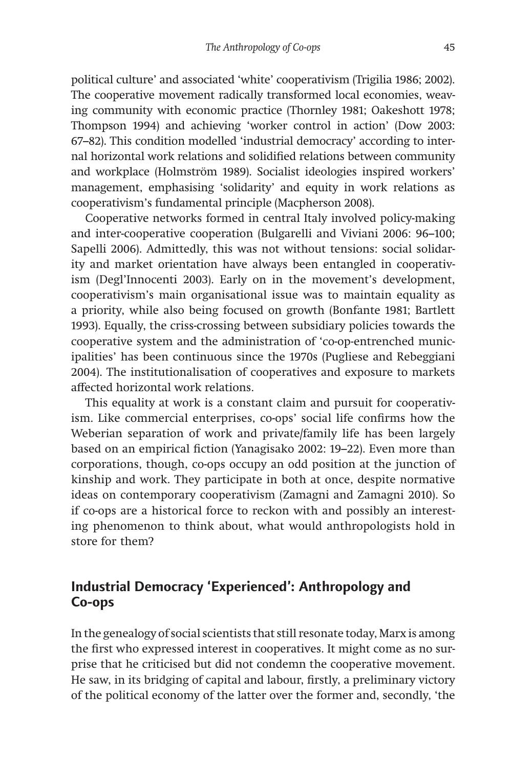political culture' and associated 'white' cooperativism (Trigilia 1986; 2002). The cooperative movement radically transformed local economies, weaving community with economic practice (Thornley 1981; Oakeshott 1978; Thompson 1994) and achieving 'worker control in action' (Dow 2003: 67–82). This condition modelled 'industrial democracy' according to internal horizontal work relations and solidified relations between community and workplace (Holmström 1989). Socialist ideologies inspired workers' management, emphasising 'solidarity' and equity in work relations as cooperativism's fundamental principle (Macpherson 2008).

Cooperative networks formed in central Italy involved policy-making and inter-cooperative cooperation (Bulgarelli and Viviani 2006: 96–100; Sapelli 2006). Admittedly, this was not without tensions: social solidarity and market orientation have always been entangled in cooperativism (Degl'Innocenti 2003). Early on in the movement's development, cooperativism's main organisational issue was to maintain equality as a priority, while also being focused on growth (Bonfante 1981; Bartlett 1993). Equally, the criss-crossing between subsidiary policies towards the cooperative system and the administration of 'co-op*-*entrenched municipalities' has been continuous since the 1970s (Pugliese and Rebeggiani 2004). The institutionalisation of cooperatives and exposure to markets affected horizontal work relations.

This equality at work is a constant claim and pursuit for cooperativism. Like commercial enterprises, co-ops' social life confirms how the Weberian separation of work and private/family life has been largely based on an empirical fiction (Yanagisako 2002: 19–22). Even more than corporations, though, co-ops occupy an odd position at the junction of kinship and work. They participate in both at once, despite normative ideas on contemporary cooperativism (Zamagni and Zamagni 2010). So if co-ops are a historical force to reckon with and possibly an interesting phenomenon to think about, what would anthropologists hold in store for them?

# **Industrial Democracy 'Experienced': Anthropology and Co-ops**

In the genealogy of social scientists that still resonate today, Marx is among the first who expressed interest in cooperatives. It might come as no surprise that he criticised but did not condemn the cooperative movement. He saw, in its bridging of capital and labour, firstly, a preliminary victory of the political economy of the latter over the former and, secondly, 'the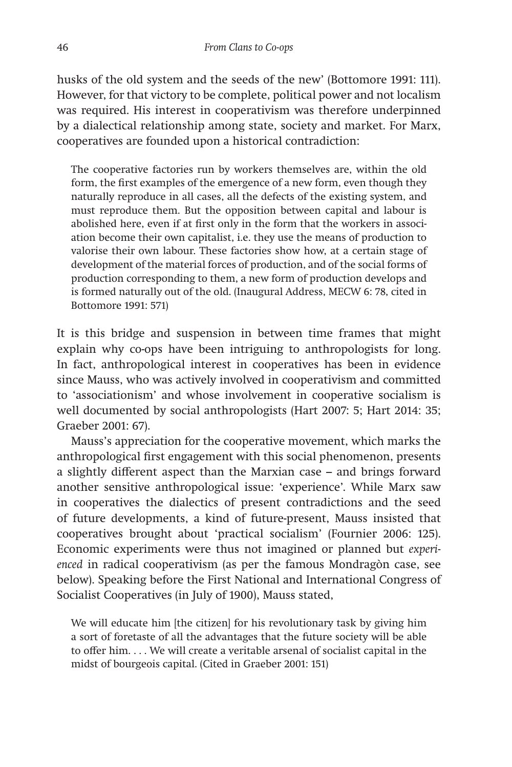husks of the old system and the seeds of the new' (Bottomore 1991: 111). However, for that victory to be complete, political power and not localism was required. His interest in cooperativism was therefore underpinned by a dialectical relationship among state, society and market. For Marx, cooperatives are founded upon a historical contradiction:

The cooperative factories run by workers themselves are, within the old form, the first examples of the emergence of a new form, even though they naturally reproduce in all cases, all the defects of the existing system, and must reproduce them. But the opposition between capital and labour is abolished here, even if at first only in the form that the workers in association become their own capitalist, i.e. they use the means of production to valorise their own labour. These factories show how, at a certain stage of development of the material forces of production, and of the social forms of production corresponding to them, a new form of production develops and is formed naturally out of the old. (Inaugural Address, MECW 6: 78, cited in Bottomore 1991: 571)

It is this bridge and suspension in between time frames that might explain why co-ops have been intriguing to anthropologists for long. In fact, anthropological interest in cooperatives has been in evidence since Mauss, who was actively involved in cooperativism and committed to 'associationism' and whose involvement in cooperative socialism is well documented by social anthropologists (Hart 2007: 5; Hart 2014: 35; Graeber 2001: 67).

Mauss's appreciation for the cooperative movement, which marks the anthropological first engagement with this social phenomenon, presents a slightly different aspect than the Marxian case – and brings forward another sensitive anthropological issue: 'experience'. While Marx saw in cooperatives the dialectics of present contradictions and the seed of future developments, a kind of future-present, Mauss insisted that cooperatives brought about 'practical socialism' (Fournier 2006: 125). Economic experiments were thus not imagined or planned but *experienced* in radical cooperativism (as per the famous Mondragòn case, see below). Speaking before the First National and International Congress of Socialist Cooperatives (in July of 1900), Mauss stated,

We will educate him [the citizen] for his revolutionary task by giving him a sort of foretaste of all the advantages that the future society will be able to offer him. . . . We will create a veritable arsenal of socialist capital in the midst of bourgeois capital. (Cited in Graeber 2001: 151)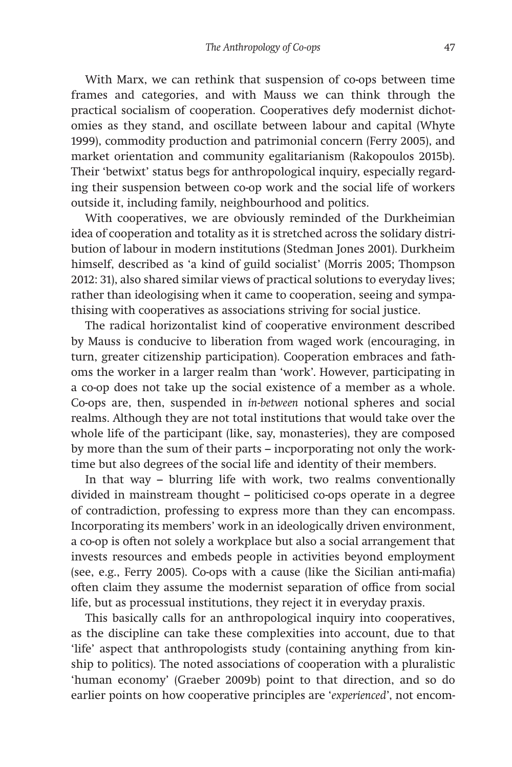With Marx, we can rethink that suspension of co-ops between time frames and categories, and with Mauss we can think through the practical socialism of cooperation. Cooperatives defy modernist dichotomies as they stand, and oscillate between labour and capital (Whyte 1999), commodity production and patrimonial concern (Ferry 2005), and market orientation and community egalitarianism (Rakopoulos 2015b). Their 'betwixt' status begs for anthropological inquiry, especially regarding their suspension between co-op work and the social life of workers outside it, including family, neighbourhood and politics.

With cooperatives, we are obviously reminded of the Durkheimian idea of cooperation and totality as it is stretched across the solidary distribution of labour in modern institutions (Stedman Jones 2001). Durkheim himself, described as 'a kind of guild socialist' (Morris 2005; Thompson 2012: 31), also shared similar views of practical solutions to everyday lives; rather than ideologising when it came to cooperation, seeing and sympathising with cooperatives as associations striving for social justice.

The radical horizontalist kind of cooperative environment described by Mauss is conducive to liberation from waged work (encouraging, in turn, greater citizenship participation). Cooperation embraces and fathoms the worker in a larger realm than 'work'. However, participating in a co-op does not take up the social existence of a member as a whole. Co-ops are, then, suspended in *in-between* notional spheres and social realms. Although they are not total institutions that would take over the whole life of the participant (like, say, monasteries), they are composed by more than the sum of their parts – incporporating not only the worktime but also degrees of the social life and identity of their members.

In that way – blurring life with work, two realms conventionally divided in mainstream thought – politicised co-ops operate in a degree of contradiction, professing to express more than they can encompass. Incorporating its members' work in an ideologically driven environment, a co-op is often not solely a workplace but also a social arrangement that invests resources and embeds people in activities beyond employment (see, e.g., Ferry 2005). Co-ops with a cause (like the Sicilian anti-mafia) often claim they assume the modernist separation of office from social life, but as processual institutions, they reject it in everyday praxis.

This basically calls for an anthropological inquiry into cooperatives, as the discipline can take these complexities into account, due to that 'life' aspect that anthropologists study (containing anything from kinship to politics). The noted associations of cooperation with a pluralistic 'human economy' (Graeber 2009b) point to that direction, and so do earlier points on how cooperative principles are '*experienced*', not encom-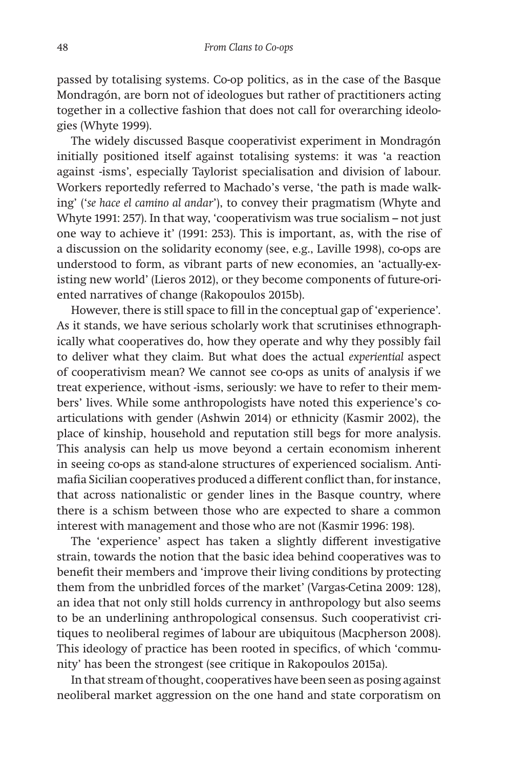passed by totalising systems. Co-op politics, as in the case of the Basque Mondragón, are born not of ideologues but rather of practitioners acting together in a collective fashion that does not call for overarching ideologies (Whyte 1999).

The widely discussed Basque cooperativist experiment in Mondragón initially positioned itself against totalising systems: it was 'a reaction against -isms', especially Taylorist specialisation and division of labour. Workers reportedly referred to Machado's verse, 'the path is made walking' ('*se hace el camino al andar*'), to convey their pragmatism (Whyte and Whyte 1991: 257). In that way, 'cooperativism was true socialism – not just one way to achieve it' (1991: 253). This is important, as, with the rise of a discussion on the solidarity economy (see, e.g., Laville 1998), co-ops are understood to form, as vibrant parts of new economies, an 'actually-existing new world' (Lieros 2012), or they become components of future-oriented narratives of change (Rakopoulos 2015b).

However, there is still space to fill in the conceptual gap of 'experience'. As it stands, we have serious scholarly work that scrutinises ethnographically what cooperatives do, how they operate and why they possibly fail to deliver what they claim. But what does the actual *experiential* aspect of cooperativism mean? We cannot see co-ops as units of analysis if we treat experience, without -isms, seriously: we have to refer to their members' lives. While some anthropologists have noted this experience's coarticulations with gender (Ashwin 2014) or ethnicity (Kasmir 2002), the place of kinship, household and reputation still begs for more analysis. This analysis can help us move beyond a certain economism inherent in seeing co-ops as stand-alone structures of experienced socialism. Antimafia Sicilian cooperatives produced a different conflict than, for instance, that across nationalistic or gender lines in the Basque country, where there is a schism between those who are expected to share a common interest with management and those who are not (Kasmir 1996: 198).

The 'experience' aspect has taken a slightly different investigative strain, towards the notion that the basic idea behind cooperatives was to benefit their members and 'improve their living conditions by protecting them from the unbridled forces of the market' (Vargas-Cetina 2009: 128), an idea that not only still holds currency in anthropology but also seems to be an underlining anthropological consensus. Such cooperativist critiques to neoliberal regimes of labour are ubiquitous (Macpherson 2008). This ideology of practice has been rooted in specifics, of which 'community' has been the strongest (see critique in Rakopoulos 2015a).

In that stream of thought, cooperatives have been seen as posing against neoliberal market aggression on the one hand and state corporatism on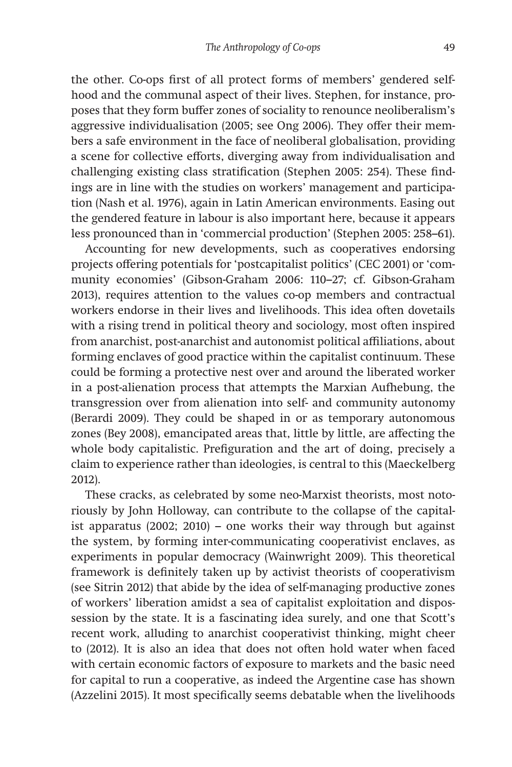the other. Co-ops first of all protect forms of members' gendered selfhood and the communal aspect of their lives. Stephen, for instance, proposes that they form buffer zones of sociality to renounce neoliberalism's aggressive individualisation (2005; see Ong 2006). They offer their members a safe environment in the face of neoliberal globalisation, providing a scene for collective efforts, diverging away from individualisation and challenging existing class stratification (Stephen 2005: 254). These findings are in line with the studies on workers' management and participation (Nash et al. 1976), again in Latin American environments. Easing out the gendered feature in labour is also important here, because it appears less pronounced than in 'commercial production' (Stephen 2005: 258–61).

Accounting for new developments, such as cooperatives endorsing projects offering potentials for 'postcapitalist politics' (CEC 2001) or 'community economies' (Gibson-Graham 2006: 110–27; cf. Gibson-Graham 2013), requires attention to the values co-op members and contractual workers endorse in their lives and livelihoods. This idea often dovetails with a rising trend in political theory and sociology, most often inspired from anarchist, post-anarchist and autonomist political affiliations, about forming enclaves of good practice within the capitalist continuum. These could be forming a protective nest over and around the liberated worker in a post-alienation process that attempts the Marxian Aufhebung, the transgression over from alienation into self- and community autonomy (Berardi 2009). They could be shaped in or as temporary autonomous zones (Bey 2008), emancipated areas that, little by little, are affecting the whole body capitalistic. Prefiguration and the art of doing, precisely a claim to experience rather than ideologies, is central to this (Maeckelberg 2012).

These cracks, as celebrated by some neo-Marxist theorists, most notoriously by John Holloway, can contribute to the collapse of the capitalist apparatus (2002; 2010) – one works their way through but against the system, by forming inter-communicating cooperativist enclaves, as experiments in popular democracy (Wainwright 2009). This theoretical framework is definitely taken up by activist theorists of cooperativism (see Sitrin 2012) that abide by the idea of self-managing productive zones of workers' liberation amidst a sea of capitalist exploitation and dispossession by the state. It is a fascinating idea surely, and one that Scott's recent work, alluding to anarchist cooperativist thinking, might cheer to (2012). It is also an idea that does not often hold water when faced with certain economic factors of exposure to markets and the basic need for capital to run a cooperative, as indeed the Argentine case has shown (Azzelini 2015). It most specifically seems debatable when the livelihoods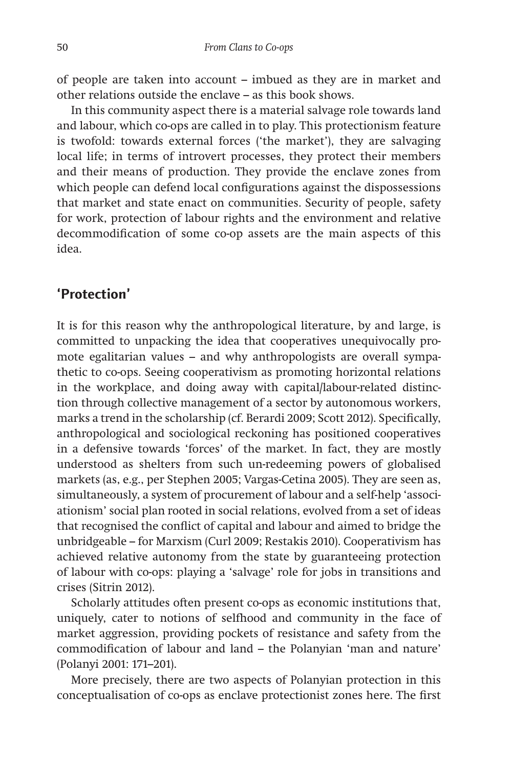of people are taken into account – imbued as they are in market and other relations outside the enclave – as this book shows.

In this community aspect there is a material salvage role towards land and labour, which co-ops are called in to play. This protectionism feature is twofold: towards external forces ('the market'), they are salvaging local life; in terms of introvert processes, they protect their members and their means of production. They provide the enclave zones from which people can defend local configurations against the dispossessions that market and state enact on communities. Security of people, safety for work, protection of labour rights and the environment and relative decommodification of some co-op assets are the main aspects of this idea.

## **'Protection'**

It is for this reason why the anthropological literature, by and large, is committed to unpacking the idea that cooperatives unequivocally promote egalitarian values – and why anthropologists are overall sympathetic to co-ops. Seeing cooperativism as promoting horizontal relations in the workplace, and doing away with capital/labour-related distinction through collective management of a sector by autonomous workers, marks a trend in the scholarship (cf. Berardi 2009; Scott 2012). Specifically, anthropological and sociological reckoning has positioned cooperatives in a defensive towards 'forces' of the market. In fact, they are mostly understood as shelters from such un-redeeming powers of globalised markets (as, e.g., per Stephen 2005; Vargas-Cetina 2005). They are seen as, simultaneously, a system of procurement of labour and a self-help 'associationism' social plan rooted in social relations, evolved from a set of ideas that recognised the conflict of capital and labour and aimed to bridge the unbridgeable – for Marxism (Curl 2009; Restakis 2010). Cooperativism has achieved relative autonomy from the state by guaranteeing protection of labour with co-ops: playing a 'salvage' role for jobs in transitions and crises (Sitrin 2012).

Scholarly attitudes often present co-ops as economic institutions that, uniquely, cater to notions of selfhood and community in the face of market aggression, providing pockets of resistance and safety from the commodification of labour and land – the Polanyian 'man and nature' (Polanyi 2001: 171–201).

More precisely, there are two aspects of Polanyian protection in this conceptualisation of co-ops as enclave protectionist zones here. The first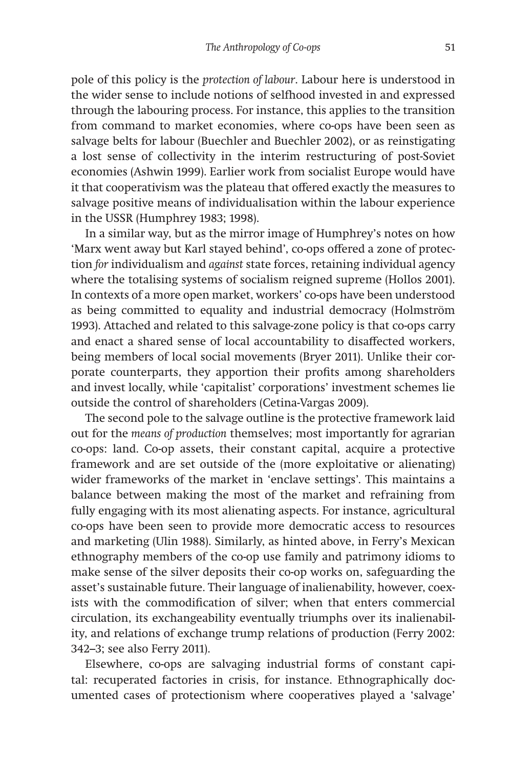pole of this policy is the *protection of labour*. Labour here is understood in the wider sense to include notions of selfhood invested in and expressed through the labouring process. For instance, this applies to the transition from command to market economies, where co-ops have been seen as salvage belts for labour (Buechler and Buechler 2002), or as reinstigating a lost sense of collectivity in the interim restructuring of post-Soviet economies (Ashwin 1999). Earlier work from socialist Europe would have it that cooperativism was the plateau that offered exactly the measures to salvage positive means of individualisation within the labour experience in the USSR (Humphrey 1983; 1998).

In a similar way, but as the mirror image of Humphrey's notes on how 'Marx went away but Karl stayed behind', co-ops offered a zone of protection *for* individualism and *against* state forces, retaining individual agency where the totalising systems of socialism reigned supreme (Hollos 2001). In contexts of a more open market, workers' co-ops have been understood as being committed to equality and industrial democracy (Holmström 1993). Attached and related to this salvage-zone policy is that co-ops carry and enact a shared sense of local accountability to disaffected workers, being members of local social movements (Bryer 2011). Unlike their corporate counterparts, they apportion their profits among shareholders and invest locally, while 'capitalist' corporations' investment schemes lie outside the control of shareholders (Cetina-Vargas 2009).

The second pole to the salvage outline is the protective framework laid out for the *means of production* themselves; most importantly for agrarian co-ops: land. Co-op assets, their constant capital, acquire a protective framework and are set outside of the (more exploitative or alienating) wider frameworks of the market in 'enclave settings'. This maintains a balance between making the most of the market and refraining from fully engaging with its most alienating aspects. For instance, agricultural co-ops have been seen to provide more democratic access to resources and marketing (Ulin 1988). Similarly, as hinted above, in Ferry's Mexican ethnography members of the co-op use family and patrimony idioms to make sense of the silver deposits their co-op works on, safeguarding the asset's sustainable future. Their language of inalienability, however, coexists with the commodification of silver; when that enters commercial circulation, its exchangeability eventually triumphs over its inalienability, and relations of exchange trump relations of production (Ferry 2002: 342–3; see also Ferry 2011).

Elsewhere, co-ops are salvaging industrial forms of constant capital: recuperated factories in crisis, for instance. Ethnographically documented cases of protectionism where cooperatives played a 'salvage'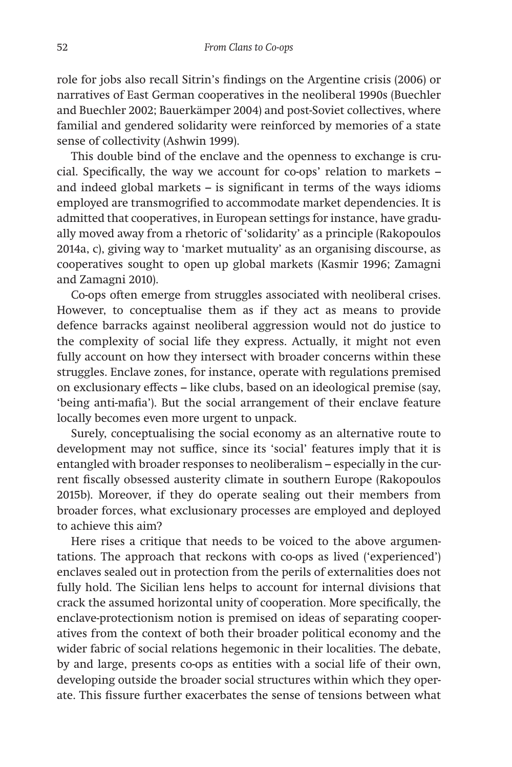role for jobs also recall Sitrin's findings on the Argentine crisis (2006) or narratives of East German cooperatives in the neoliberal 1990s (Buechler and Buechler 2002; Bauerkämper 2004) and post-Soviet collectives, where familial and gendered solidarity were reinforced by memories of a state sense of collectivity (Ashwin 1999).

This double bind of the enclave and the openness to exchange is crucial. Specifically, the way we account for co-ops' relation to markets – and indeed global markets – is significant in terms of the ways idioms employed are transmogrified to accommodate market dependencies. It is admitted that cooperatives, in European settings for instance, have gradually moved away from a rhetoric of 'solidarity' as a principle (Rakopoulos 2014a, c), giving way to 'market mutuality' as an organising discourse, as cooperatives sought to open up global markets (Kasmir 1996; Zamagni and Zamagni 2010).

Co-ops often emerge from struggles associated with neoliberal crises. However, to conceptualise them as if they act as means to provide defence barracks against neoliberal aggression would not do justice to the complexity of social life they express. Actually, it might not even fully account on how they intersect with broader concerns within these struggles. Enclave zones, for instance, operate with regulations premised on exclusionary effects – like clubs, based on an ideological premise (say, 'being anti-mafia'). But the social arrangement of their enclave feature locally becomes even more urgent to unpack.

Surely, conceptualising the social economy as an alternative route to development may not suffice, since its 'social' features imply that it is entangled with broader responses to neoliberalism – especially in the current fiscally obsessed austerity climate in southern Europe (Rakopoulos 2015b). Moreover, if they do operate sealing out their members from broader forces, what exclusionary processes are employed and deployed to achieve this aim?

Here rises a critique that needs to be voiced to the above argumentations. The approach that reckons with co-ops as lived ('experienced') enclaves sealed out in protection from the perils of externalities does not fully hold. The Sicilian lens helps to account for internal divisions that crack the assumed horizontal unity of cooperation. More specifically, the enclave-protectionism notion is premised on ideas of separating cooperatives from the context of both their broader political economy and the wider fabric of social relations hegemonic in their localities. The debate, by and large, presents co-ops as entities with a social life of their own, developing outside the broader social structures within which they operate. This fissure further exacerbates the sense of tensions between what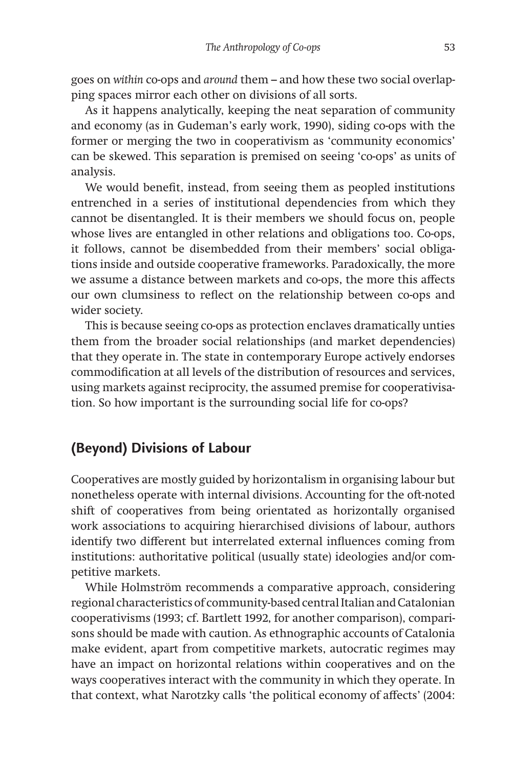goes on *within* co-ops and *around* them – and how these two social overlapping spaces mirror each other on divisions of all sorts.

As it happens analytically, keeping the neat separation of community and economy (as in Gudeman's early work, 1990), siding co-ops with the former or merging the two in cooperativism as 'community economics' can be skewed. This separation is premised on seeing 'co-ops' as units of analysis.

We would benefit, instead, from seeing them as peopled institutions entrenched in a series of institutional dependencies from which they cannot be disentangled. It is their members we should focus on, people whose lives are entangled in other relations and obligations too. Co-ops, it follows, cannot be disembedded from their members' social obligations inside and outside cooperative frameworks. Paradoxically, the more we assume a distance between markets and co-ops, the more this affects our own clumsiness to reflect on the relationship between co-ops and wider society.

This is because seeing co-ops as protection enclaves dramatically unties them from the broader social relationships (and market dependencies) that they operate in. The state in contemporary Europe actively endorses commodification at all levels of the distribution of resources and services, using markets against reciprocity, the assumed premise for cooperativisation. So how important is the surrounding social life for co-ops?

# **(Beyond) Divisions of Labour**

Cooperatives are mostly guided by horizontalism in organising labour but nonetheless operate with internal divisions. Accounting for the oft-noted shift of cooperatives from being orientated as horizontally organised work associations to acquiring hierarchised divisions of labour, authors identify two different but interrelated external influences coming from institutions: authoritative political (usually state) ideologies and/or competitive markets.

While Holmström recommends a comparative approach, considering regional characteristics of community-based central Italian and Catalonian cooperativisms (1993; cf. Bartlett 1992, for another comparison), comparisons should be made with caution. As ethnographic accounts of Catalonia make evident, apart from competitive markets, autocratic regimes may have an impact on horizontal relations within cooperatives and on the ways cooperatives interact with the community in which they operate. In that context, what Narotzky calls 'the political economy of affects' (2004: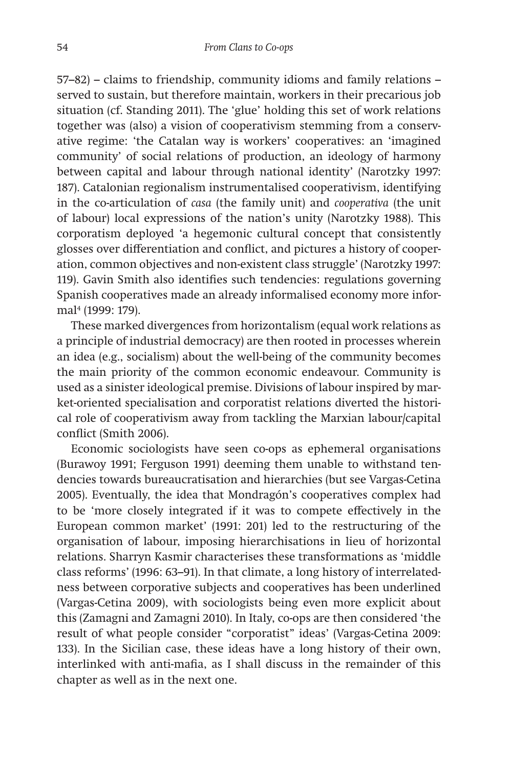57–82) – claims to friendship, community idioms and family relations – served to sustain, but therefore maintain, workers in their precarious job situation (cf. Standing 2011). The 'glue' holding this set of work relations together was (also) a vision of cooperativism stemming from a conservative regime: 'the Catalan way is workers' cooperatives: an 'imagined community' of social relations of production, an ideology of harmony between capital and labour through national identity' (Narotzky 1997: 187). Catalonian regionalism instrumentalised cooperativism, identifying in the co-articulation of *casa* (the family unit) and *cooperativa* (the unit of labour) local expressions of the nation's unity (Narotzky 1988). This corporatism deployed 'a hegemonic cultural concept that consistently glosses over differentiation and conflict, and pictures a history of cooperation, common objectives and non-existent class struggle' (Narotzky 1997: 119). Gavin Smith also identifies such tendencies: regulations governing Spanish cooperatives made an already informalised economy more informal4 (1999: 179).

These marked divergences from horizontalism (equal work relations as a principle of industrial democracy) are then rooted in processes wherein an idea (e.g., socialism) about the well-being of the community becomes the main priority of the common economic endeavour. Community is used as a sinister ideological premise. Divisions of labour inspired by market-oriented specialisation and corporatist relations diverted the historical role of cooperativism away from tackling the Marxian labour/capital conflict (Smith 2006).

Economic sociologists have seen co-ops as ephemeral organisations (Burawoy 1991; Ferguson 1991) deeming them unable to withstand tendencies towards bureaucratisation and hierarchies (but see Vargas-Cetina 2005). Eventually, the idea that Mondragón's cooperatives complex had to be 'more closely integrated if it was to compete effectively in the European common market' (1991: 201) led to the restructuring of the organisation of labour, imposing hierarchisations in lieu of horizontal relations. Sharryn Kasmir characterises these transformations as 'middle class reforms' (1996: 63–91). In that climate, a long history of interrelatedness between corporative subjects and cooperatives has been underlined (Vargas-Cetina 2009), with sociologists being even more explicit about this (Zamagni and Zamagni 2010). In Italy, co-ops are then considered 'the result of what people consider "corporatist" ideas' (Vargas-Cetina 2009: 133). In the Sicilian case, these ideas have a long history of their own, interlinked with anti-mafia, as I shall discuss in the remainder of this chapter as well as in the next one.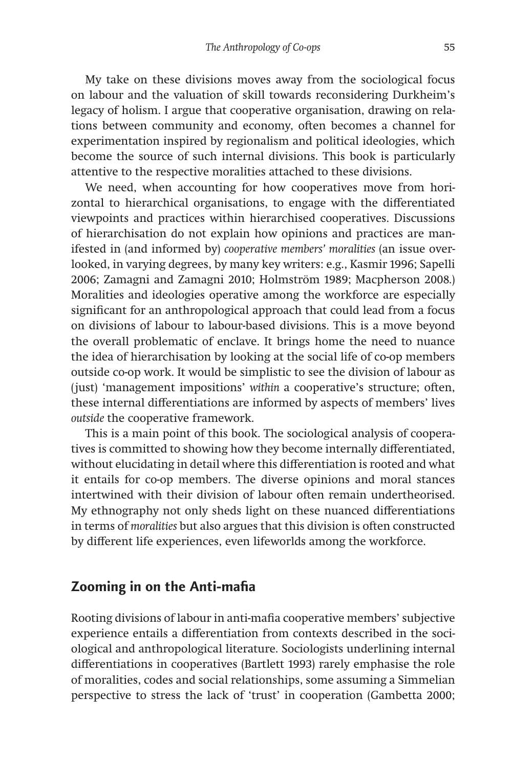My take on these divisions moves away from the sociological focus on labour and the valuation of skill towards reconsidering Durkheim's legacy of holism. I argue that cooperative organisation, drawing on relations between community and economy, often becomes a channel for experimentation inspired by regionalism and political ideologies, which become the source of such internal divisions. This book is particularly attentive to the respective moralities attached to these divisions.

We need, when accounting for how cooperatives move from horizontal to hierarchical organisations, to engage with the differentiated viewpoints and practices within hierarchised cooperatives. Discussions of hierarchisation do not explain how opinions and practices are manifested in (and informed by) *cooperative members' moralities* (an issue overlooked, in varying degrees, by many key writers: e.g., Kasmir 1996; Sapelli 2006; Zamagni and Zamagni 2010; Holmström 1989; Macpherson 2008.) Moralities and ideologies operative among the workforce are especially significant for an anthropological approach that could lead from a focus on divisions of labour to labour-based divisions. This is a move beyond the overall problematic of enclave. It brings home the need to nuance the idea of hierarchisation by looking at the social life of co-op members outside co-op work. It would be simplistic to see the division of labour as (just) 'management impositions' *within* a cooperative's structure; often, these internal differentiations are informed by aspects of members' lives *outside* the cooperative framework.

This is a main point of this book. The sociological analysis of cooperatives is committed to showing how they become internally differentiated, without elucidating in detail where this differentiation is rooted and what it entails for co-op members. The diverse opinions and moral stances intertwined with their division of labour often remain undertheorised. My ethnography not only sheds light on these nuanced differentiations in terms of *moralities* but also argues that this division is often constructed by different life experiences, even lifeworlds among the workforce.

### **Zooming in on the Anti-mafia**

Rooting divisions of labour in anti-mafia cooperative members' subjective experience entails a differentiation from contexts described in the sociological and anthropological literature. Sociologists underlining internal differentiations in cooperatives (Bartlett 1993) rarely emphasise the role of moralities, codes and social relationships, some assuming a Simmelian perspective to stress the lack of 'trust' in cooperation (Gambetta 2000;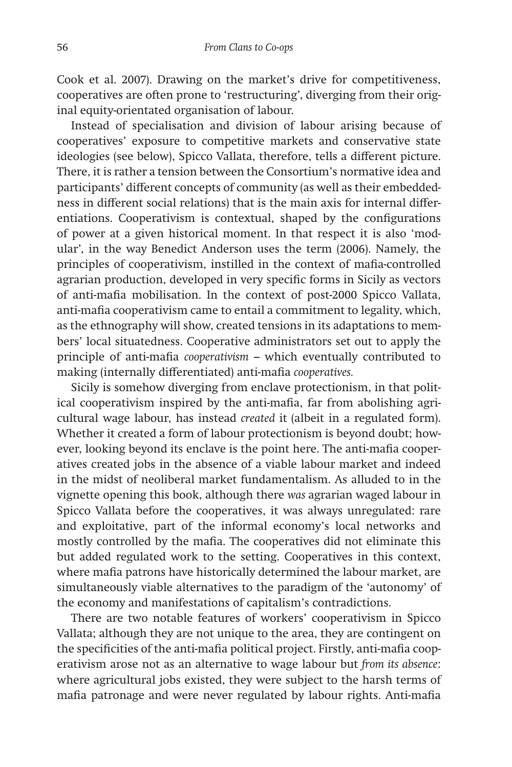Cook et al. 2007). Drawing on the market's drive for competitiveness, cooperatives are often prone to 'restructuring', diverging from their original equity-orientated organisation of labour.

Instead of specialisation and division of labour arising because of cooperatives' exposure to competitive markets and conservative state ideologies (see below), Spicco Vallata, therefore, tells a different picture. There, it is rather a tension between the Consortium's normative idea and participants' different concepts of community (as well as their embeddedness in different social relations) that is the main axis for internal differentiations. Cooperativism is contextual, shaped by the configurations of power at a given historical moment. In that respect it is also 'modular', in the way Benedict Anderson uses the term (2006). Namely, the principles of cooperativism, instilled in the context of mafia-controlled agrarian production, developed in very specific forms in Sicily as vectors of anti-mafia mobilisation. In the context of post-2000 Spicco Vallata, anti-mafia cooperativism came to entail a commitment to legality, which, as the ethnography will show, created tensions in its adaptations to members' local situatedness. Cooperative administrators set out to apply the principle of anti-mafia *cooperativism* – which eventually contributed to making (internally differentiated) anti-mafia *cooperatives.*

Sicily is somehow diverging from enclave protectionism, in that political cooperativism inspired by the anti-mafia, far from abolishing agricultural wage labour, has instead *created* it (albeit in a regulated form). Whether it created a form of labour protectionism is beyond doubt; however, looking beyond its enclave is the point here. The anti-mafia cooperatives created jobs in the absence of a viable labour market and indeed in the midst of neoliberal market fundamentalism. As alluded to in the vignette opening this book, although there *was* agrarian waged labour in Spicco Vallata before the cooperatives, it was always unregulated: rare and exploitative, part of the informal economy's local networks and mostly controlled by the mafia. The cooperatives did not eliminate this but added regulated work to the setting. Cooperatives in this context, where mafia patrons have historically determined the labour market, are simultaneously viable alternatives to the paradigm of the 'autonomy' of the economy and manifestations of capitalism's contradictions.

There are two notable features of workers' cooperativism in Spicco Vallata; although they are not unique to the area, they are contingent on the specificities of the anti-mafia political project. Firstly, anti-mafia cooperativism arose not as an alternative to wage labour but *from its absence*: where agricultural jobs existed, they were subject to the harsh terms of mafia patronage and were never regulated by labour rights. Anti-mafia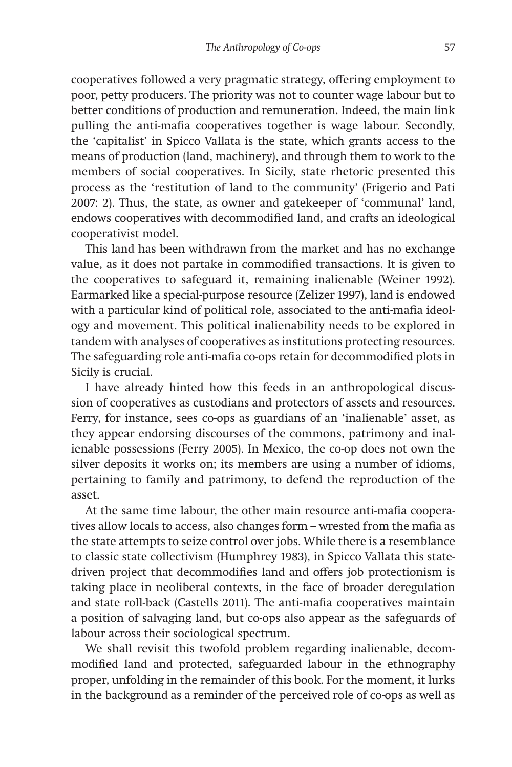cooperatives followed a very pragmatic strategy, offering employment to poor, petty producers. The priority was not to counter wage labour but to better conditions of production and remuneration. Indeed, the main link pulling the anti-mafia cooperatives together is wage labour. Secondly, the 'capitalist' in Spicco Vallata is the state, which grants access to the means of production (land, machinery), and through them to work to the members of social cooperatives. In Sicily, state rhetoric presented this process as the 'restitution of land to the community' (Frigerio and Pati 2007: 2). Thus, the state, as owner and gatekeeper of 'communal' land, endows cooperatives with decommodified land, and crafts an ideological cooperativist model.

This land has been withdrawn from the market and has no exchange value, as it does not partake in commodified transactions. It is given to the cooperatives to safeguard it, remaining inalienable (Weiner 1992). Earmarked like a special-purpose resource (Zelizer 1997), land is endowed with a particular kind of political role, associated to the anti-mafia ideology and movement. This political inalienability needs to be explored in tandem with analyses of cooperatives as institutions protecting resources. The safeguarding role anti-mafia co-ops retain for decommodified plots in Sicily is crucial.

I have already hinted how this feeds in an anthropological discussion of cooperatives as custodians and protectors of assets and resources. Ferry, for instance, sees co-ops as guardians of an 'inalienable' asset, as they appear endorsing discourses of the commons, patrimony and inalienable possessions (Ferry 2005). In Mexico, the co-op does not own the silver deposits it works on; its members are using a number of idioms, pertaining to family and patrimony, to defend the reproduction of the asset.

At the same time labour, the other main resource anti-mafia cooperatives allow locals to access, also changes form – wrested from the mafia as the state attempts to seize control over jobs. While there is a resemblance to classic state collectivism (Humphrey 1983), in Spicco Vallata this statedriven project that decommodifies land and offers job protectionism is taking place in neoliberal contexts, in the face of broader deregulation and state roll-back (Castells 2011). The anti-mafia cooperatives maintain a position of salvaging land, but co-ops also appear as the safeguards of labour across their sociological spectrum.

We shall revisit this twofold problem regarding inalienable, decommodified land and protected, safeguarded labour in the ethnography proper, unfolding in the remainder of this book. For the moment, it lurks in the background as a reminder of the perceived role of co-ops as well as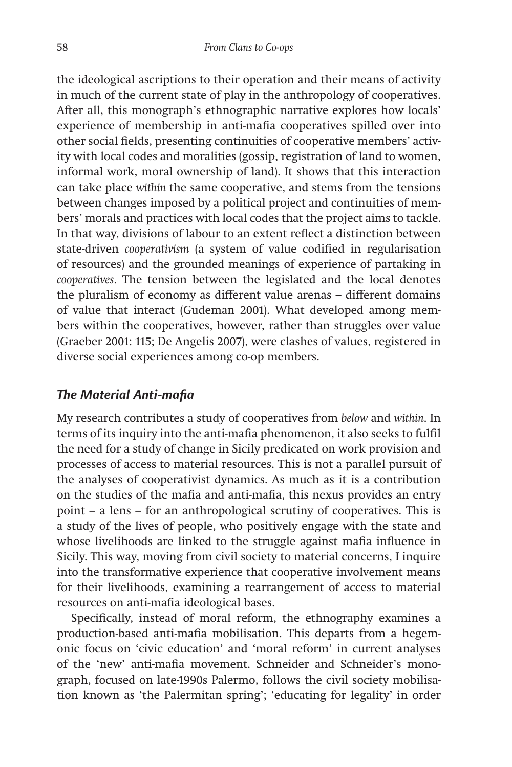the ideological ascriptions to their operation and their means of activity in much of the current state of play in the anthropology of cooperatives. After all, this monograph's ethnographic narrative explores how locals' experience of membership in anti-mafia cooperatives spilled over into other social fields, presenting continuities of cooperative members' activity with local codes and moralities (gossip, registration of land to women, informal work, moral ownership of land). It shows that this interaction can take place *within* the same cooperative, and stems from the tensions between changes imposed by a political project and continuities of members' morals and practices with local codes that the project aims to tackle. In that way, divisions of labour to an extent reflect a distinction between state-driven *cooperativism* (a system of value codified in regularisation of resources) and the grounded meanings of experience of partaking in *cooperatives*. The tension between the legislated and the local denotes the pluralism of economy as different value arenas – different domains of value that interact (Gudeman 2001). What developed among members within the cooperatives, however, rather than struggles over value (Graeber 2001: 115; De Angelis 2007), were clashes of values, registered in diverse social experiences among co-op members.

#### *The Material Anti-mafia*

My research contributes a study of cooperatives from *below* and *within*. In terms of its inquiry into the anti-mafia phenomenon, it also seeks to fulfil the need for a study of change in Sicily predicated on work provision and processes of access to material resources. This is not a parallel pursuit of the analyses of cooperativist dynamics. As much as it is a contribution on the studies of the mafia and anti-mafia, this nexus provides an entry point – a lens – for an anthropological scrutiny of cooperatives. This is a study of the lives of people, who positively engage with the state and whose livelihoods are linked to the struggle against mafia influence in Sicily. This way, moving from civil society to material concerns, I inquire into the transformative experience that cooperative involvement means for their livelihoods, examining a rearrangement of access to material resources on anti-mafia ideological bases.

Specifically, instead of moral reform, the ethnography examines a production-based anti-mafia mobilisation. This departs from a hegemonic focus on 'civic education' and 'moral reform' in current analyses of the 'new' anti-mafia movement. Schneider and Schneider's monograph, focused on late-1990s Palermo, follows the civil society mobilisation known as 'the Palermitan spring'; 'educating for legality' in order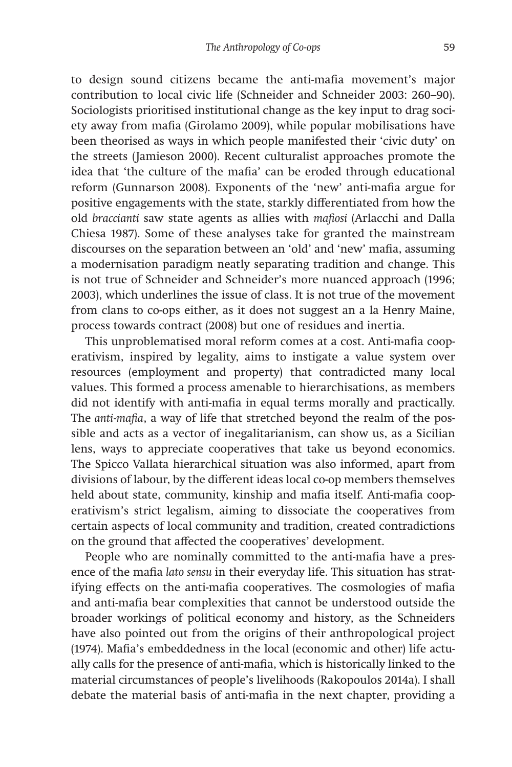to design sound citizens became the anti-mafia movement's major contribution to local civic life (Schneider and Schneider 2003: 260–90). Sociologists prioritised institutional change as the key input to drag society away from mafia (Girolamo 2009), while popular mobilisations have been theorised as ways in which people manifested their 'civic duty' on the streets (Jamieson 2000). Recent culturalist approaches promote the idea that 'the culture of the mafia' can be eroded through educational reform (Gunnarson 2008). Exponents of the 'new' anti-mafia argue for positive engagements with the state, starkly differentiated from how the old *braccianti* saw state agents as allies with *mafiosi* (Arlacchi and Dalla Chiesa 1987). Some of these analyses take for granted the mainstream discourses on the separation between an 'old' and 'new' mafia, assuming a modernisation paradigm neatly separating tradition and change. This is not true of Schneider and Schneider's more nuanced approach (1996; 2003), which underlines the issue of class. It is not true of the movement from clans to co-ops either, as it does not suggest an a la Henry Maine, process towards contract (2008) but one of residues and inertia.

This unproblematised moral reform comes at a cost. Anti-mafia cooperativism, inspired by legality, aims to instigate a value system over resources (employment and property) that contradicted many local values. This formed a process amenable to hierarchisations, as members did not identify with anti-mafia in equal terms morally and practically. The *anti-mafia*, a way of life that stretched beyond the realm of the possible and acts as a vector of inegalitarianism, can show us, as a Sicilian lens, ways to appreciate cooperatives that take us beyond economics. The Spicco Vallata hierarchical situation was also informed, apart from divisions of labour, by the different ideas local co-op members themselves held about state, community, kinship and mafia itself. Anti-mafia cooperativism's strict legalism, aiming to dissociate the cooperatives from certain aspects of local community and tradition, created contradictions on the ground that affected the cooperatives' development.

People who are nominally committed to the anti-mafia have a presence of the mafia *lato sensu* in their everyday life. This situation has stratifying effects on the anti-mafia cooperatives. The cosmologies of mafia and anti-mafia bear complexities that cannot be understood outside the broader workings of political economy and history, as the Schneiders have also pointed out from the origins of their anthropological project (1974). Mafia's embeddedness in the local (economic and other) life actually calls for the presence of anti-mafia, which is historically linked to the material circumstances of people's livelihoods (Rakopoulos 2014a). I shall debate the material basis of anti-mafia in the next chapter, providing a